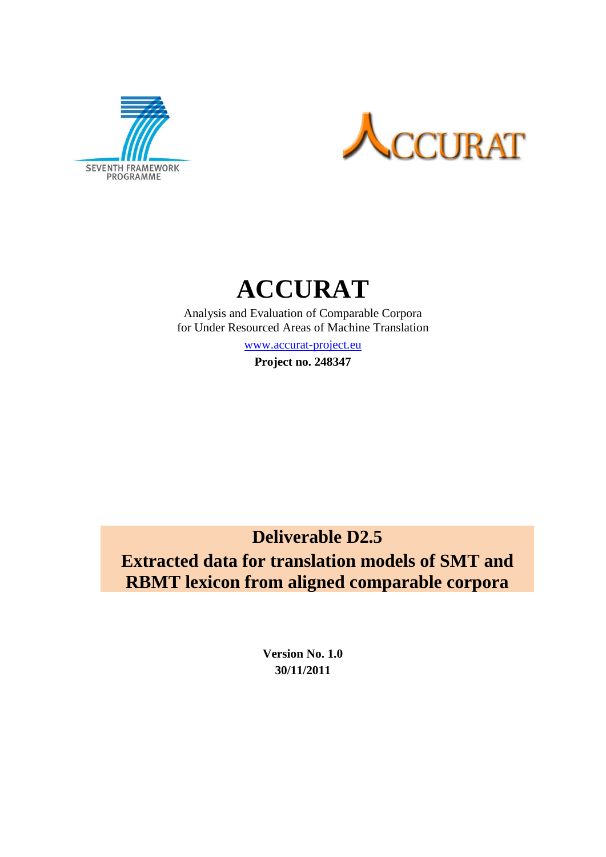



# **ACCURAT**

Analysis and Evaluation of Comparable Corpora for Under Resourced Areas of Machine Translation

[www.accurat-project.eu](http://www.accurat-project.eu/)

**Project no. 248347**

**Deliverable D2.5**

**Extracted data for translation models of SMT and RBMT lexicon from aligned comparable corpora**

> **Version No. 1.0 30/11/2011**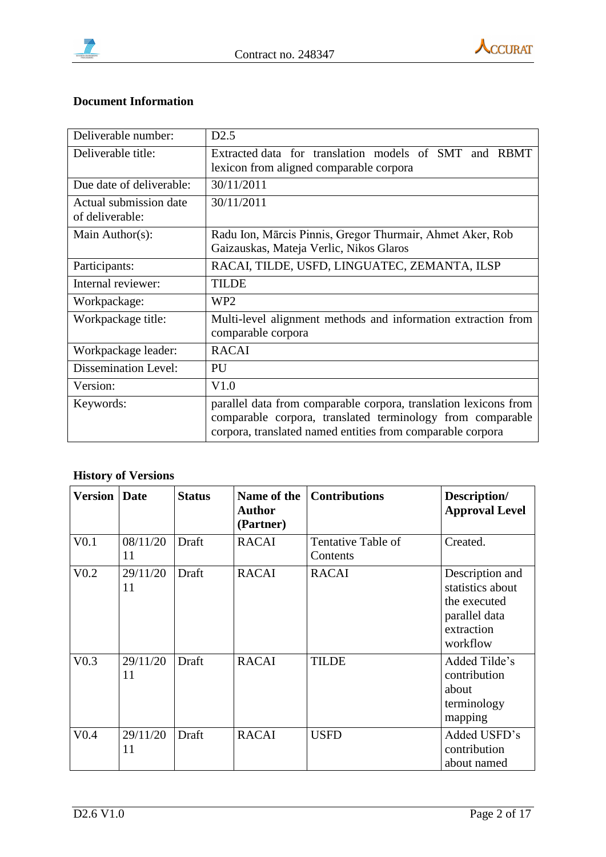



### **Document Information**

| Deliverable number:                       | D2.5                                                                                                                                                                                         |  |  |  |  |  |
|-------------------------------------------|----------------------------------------------------------------------------------------------------------------------------------------------------------------------------------------------|--|--|--|--|--|
| Deliverable title:                        | Extracted data for translation models of SMT and RBMT<br>lexicon from aligned comparable corpora                                                                                             |  |  |  |  |  |
| Due date of deliverable:                  | 30/11/2011                                                                                                                                                                                   |  |  |  |  |  |
| Actual submission date<br>of deliverable: | 30/11/2011                                                                                                                                                                                   |  |  |  |  |  |
| Main Author(s):                           | Radu Ion, Mārcis Pinnis, Gregor Thurmair, Ahmet Aker, Rob<br>Gaizauskas, Mateja Verlic, Nikos Glaros                                                                                         |  |  |  |  |  |
| Participants:                             | RACAI, TILDE, USFD, LINGUATEC, ZEMANTA, ILSP                                                                                                                                                 |  |  |  |  |  |
| Internal reviewer:                        | <b>TILDE</b>                                                                                                                                                                                 |  |  |  |  |  |
| Workpackage:                              | WP <sub>2</sub>                                                                                                                                                                              |  |  |  |  |  |
| Workpackage title:                        | Multi-level alignment methods and information extraction from<br>comparable corpora                                                                                                          |  |  |  |  |  |
| Workpackage leader:                       | <b>RACAI</b>                                                                                                                                                                                 |  |  |  |  |  |
| <b>Dissemination Level:</b>               | PU                                                                                                                                                                                           |  |  |  |  |  |
| Version:                                  | V1.0                                                                                                                                                                                         |  |  |  |  |  |
| Keywords:                                 | parallel data from comparable corpora, translation lexicons from<br>comparable corpora, translated terminology from comparable<br>corpora, translated named entities from comparable corpora |  |  |  |  |  |

# **History of Versions**

| <b>Version   Date</b> |                | <b>Status</b> | Name of the<br>Author<br>(Partner) | <b>Contributions</b>           | Description/<br><b>Approval Level</b>                                                          |
|-----------------------|----------------|---------------|------------------------------------|--------------------------------|------------------------------------------------------------------------------------------------|
| V <sub>0.1</sub>      | 08/11/20<br>11 | Draft         | <b>RACAI</b>                       | Tentative Table of<br>Contents | Created.                                                                                       |
| V <sub>0.2</sub>      | 29/11/20<br>11 | Draft         | <b>RACAI</b>                       | <b>RACAI</b>                   | Description and<br>statistics about<br>the executed<br>parallel data<br>extraction<br>workflow |
| V <sub>0.3</sub>      | 29/11/20<br>11 | Draft         | <b>RACAI</b>                       | <b>TILDE</b>                   | Added Tilde's<br>contribution<br>about<br>terminology<br>mapping                               |
| V <sub>0.4</sub>      | 29/11/20<br>11 | Draft         | <b>RACAI</b>                       | <b>USFD</b>                    | Added USFD's<br>contribution<br>about named                                                    |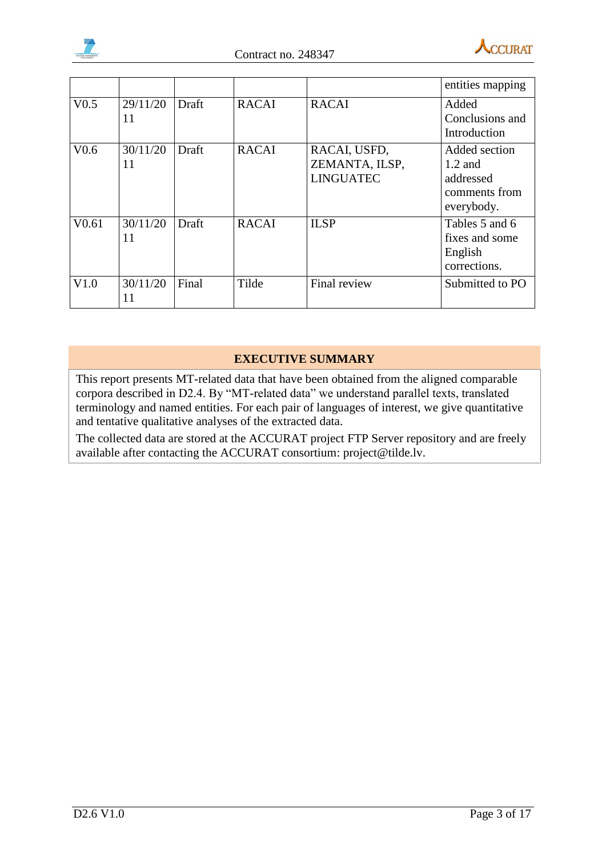



|                   |                |       |              |                                                    | entities mapping                                                       |
|-------------------|----------------|-------|--------------|----------------------------------------------------|------------------------------------------------------------------------|
| V <sub>0.5</sub>  | 29/11/20<br>11 | Draft | <b>RACAI</b> | <b>RACAI</b>                                       | Added<br>Conclusions and<br>Introduction                               |
| V <sub>0.6</sub>  | 30/11/20<br>11 | Draft | <b>RACAI</b> | RACAI, USFD,<br>ZEMANTA, ILSP,<br><b>LINGUATEC</b> | Added section<br>$1.2$ and<br>addressed<br>comments from<br>everybody. |
| V <sub>0.61</sub> | 30/11/20<br>11 | Draft | <b>RACAI</b> | <b>ILSP</b>                                        | Tables 5 and 6<br>fixes and some<br>English<br>corrections.            |
| V1.0              | 30/11/20<br>11 | Final | Tilde        | Final review                                       | Submitted to PO                                                        |

### **EXECUTIVE SUMMARY**

This report presents MT-related data that have been obtained from the aligned comparable corpora described in D2.4. By "MT-related data" we understand parallel texts, translated terminology and named entities. For each pair of languages of interest, we give quantitative and tentative qualitative analyses of the extracted data.

The collected data are stored at the ACCURAT project FTP Server repository and are freely available after contacting the ACCURAT consortium: project@tilde.lv.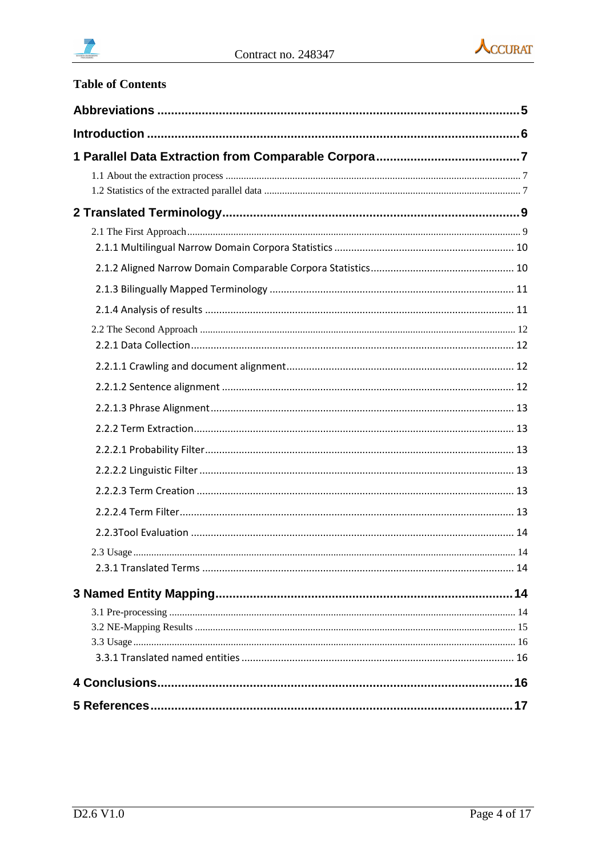



| <b>Table of Contents</b> |    |
|--------------------------|----|
|                          |    |
|                          |    |
|                          |    |
|                          |    |
|                          |    |
|                          |    |
|                          |    |
|                          |    |
|                          |    |
|                          |    |
|                          |    |
|                          |    |
|                          |    |
|                          |    |
|                          |    |
|                          |    |
|                          |    |
|                          |    |
| 2.2.3Tool Evaluation     | 14 |
|                          |    |
|                          |    |
|                          |    |
|                          |    |
|                          |    |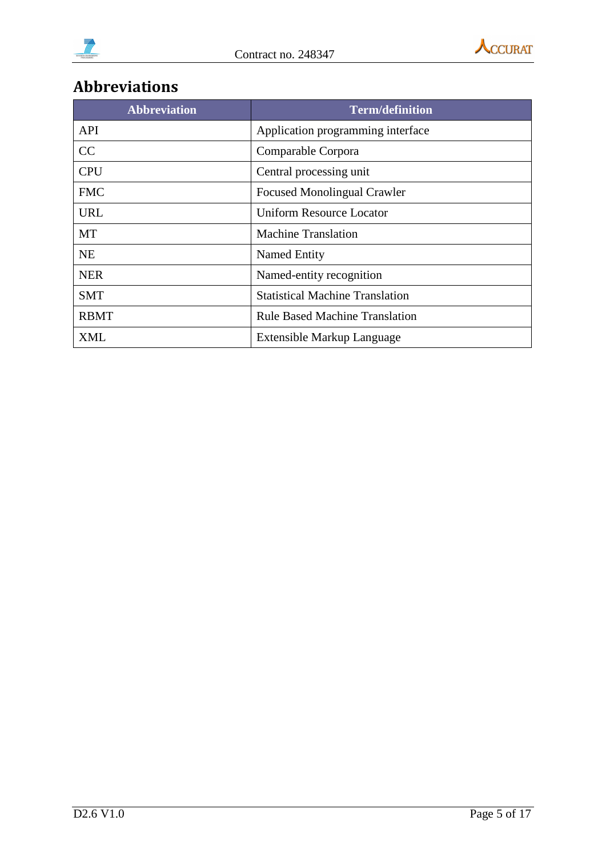



# <span id="page-4-0"></span>**Abbreviations**

| <b>Abbreviation</b> | <b>Term/definition</b>                 |
|---------------------|----------------------------------------|
| <b>API</b>          | Application programming interface      |
| CC                  | Comparable Corpora                     |
| <b>CPU</b>          | Central processing unit                |
| <b>FMC</b>          | <b>Focused Monolingual Crawler</b>     |
| <b>URL</b>          | <b>Uniform Resource Locator</b>        |
| MT                  | <b>Machine Translation</b>             |
| <b>NE</b>           | Named Entity                           |
| <b>NER</b>          | Named-entity recognition               |
| <b>SMT</b>          | <b>Statistical Machine Translation</b> |
| <b>RBMT</b>         | <b>Rule Based Machine Translation</b>  |
| XML                 | Extensible Markup Language             |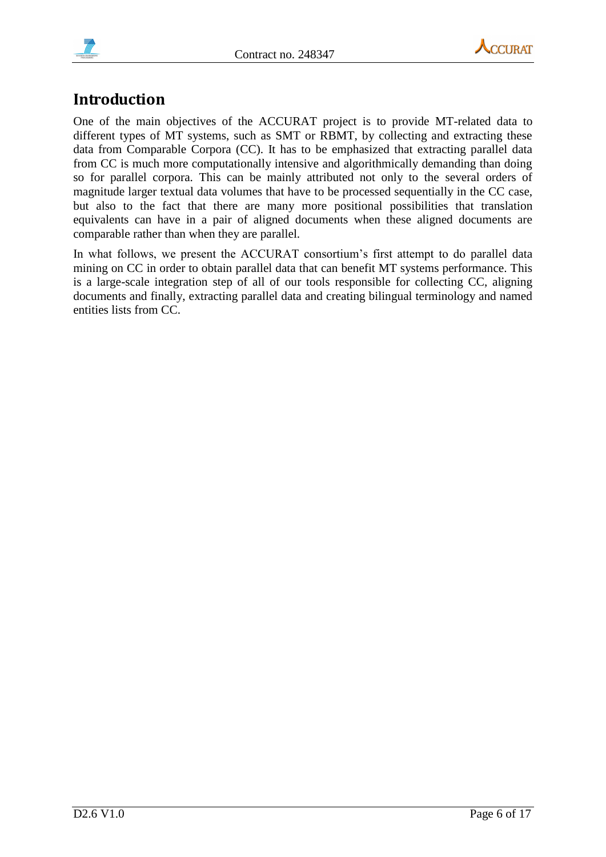



# <span id="page-5-0"></span>**Introduction**

One of the main objectives of the ACCURAT project is to provide MT-related data to different types of MT systems, such as SMT or RBMT, by collecting and extracting these data from Comparable Corpora (CC). It has to be emphasized that extracting parallel data from CC is much more computationally intensive and algorithmically demanding than doing so for parallel corpora. This can be mainly attributed not only to the several orders of magnitude larger textual data volumes that have to be processed sequentially in the CC case, but also to the fact that there are many more positional possibilities that translation equivalents can have in a pair of aligned documents when these aligned documents are comparable rather than when they are parallel.

In what follows, we present the ACCURAT consortium's first attempt to do parallel data mining on CC in order to obtain parallel data that can benefit MT systems performance. This is a large-scale integration step of all of our tools responsible for collecting CC, aligning documents and finally, extracting parallel data and creating bilingual terminology and named entities lists from CC.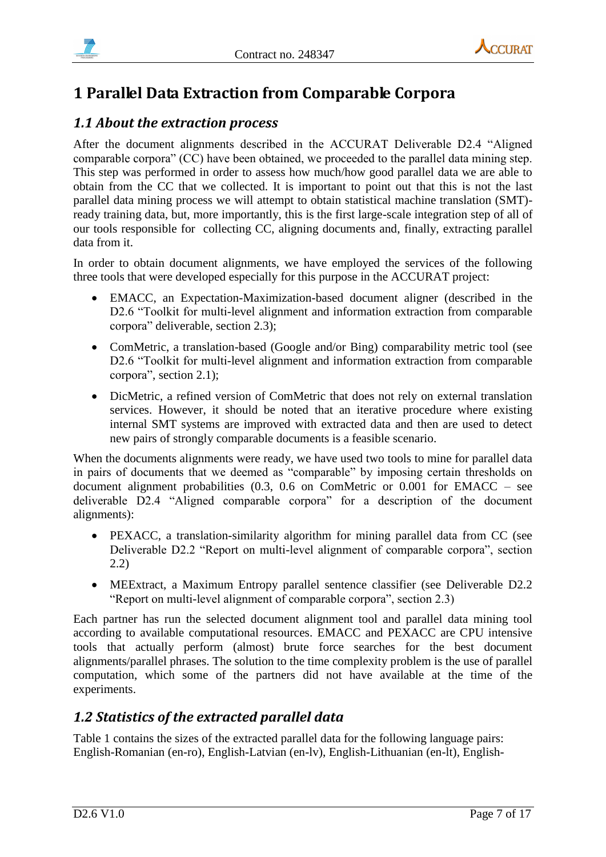



# <span id="page-6-0"></span>**1 Parallel Data Extraction from Comparable Corpora**

### <span id="page-6-1"></span>*1.1 About the extraction process*

After the document alignments described in the ACCURAT Deliverable D2.4 "Aligned comparable corpora" (CC) have been obtained, we proceeded to the parallel data mining step. This step was performed in order to assess how much/how good parallel data we are able to obtain from the CC that we collected. It is important to point out that this is not the last parallel data mining process we will attempt to obtain statistical machine translation (SMT) ready training data, but, more importantly, this is the first large-scale integration step of all of our tools responsible for collecting CC, aligning documents and, finally, extracting parallel data from it.

In order to obtain document alignments, we have employed the services of the following three tools that were developed especially for this purpose in the ACCURAT project:

- EMACC, an Expectation-Maximization-based document aligner (described in the D2.6 "Toolkit for multi-level alignment and information extraction from comparable corpora" deliverable, section 2.3);
- ComMetric, a translation-based (Google and/or Bing) comparability metric tool (see D2.6 "Toolkit for multi-level alignment and information extraction from comparable corpora", section 2.1);
- DicMetric, a refined version of ComMetric that does not rely on external translation services. However, it should be noted that an iterative procedure where existing internal SMT systems are improved with extracted data and then are used to detect new pairs of strongly comparable documents is a feasible scenario.

When the documents alignments were ready, we have used two tools to mine for parallel data in pairs of documents that we deemed as "comparable" by imposing certain thresholds on document alignment probabilities (0.3, 0.6 on ComMetric or 0.001 for EMACC – see deliverable D2.4 "Aligned comparable corpora" for a description of the document alignments):

- PEXACC, a translation-similarity algorithm for mining parallel data from CC (see Deliverable D2.2 "Report on multi-level alignment of comparable corpora", section 2.2)
- MEExtract, a Maximum Entropy parallel sentence classifier (see Deliverable D2.2 "Report on multi-level alignment of comparable corpora", section 2.3)

Each partner has run the selected document alignment tool and parallel data mining tool according to available computational resources. EMACC and PEXACC are CPU intensive tools that actually perform (almost) brute force searches for the best document alignments/parallel phrases. The solution to the time complexity problem is the use of parallel computation, which some of the partners did not have available at the time of the experiments.

# <span id="page-6-2"></span>*1.2 Statistics of the extracted parallel data*

Table 1 contains the sizes of the extracted parallel data for the following language pairs: English-Romanian (en-ro), English-Latvian (en-lv), English-Lithuanian (en-lt), English-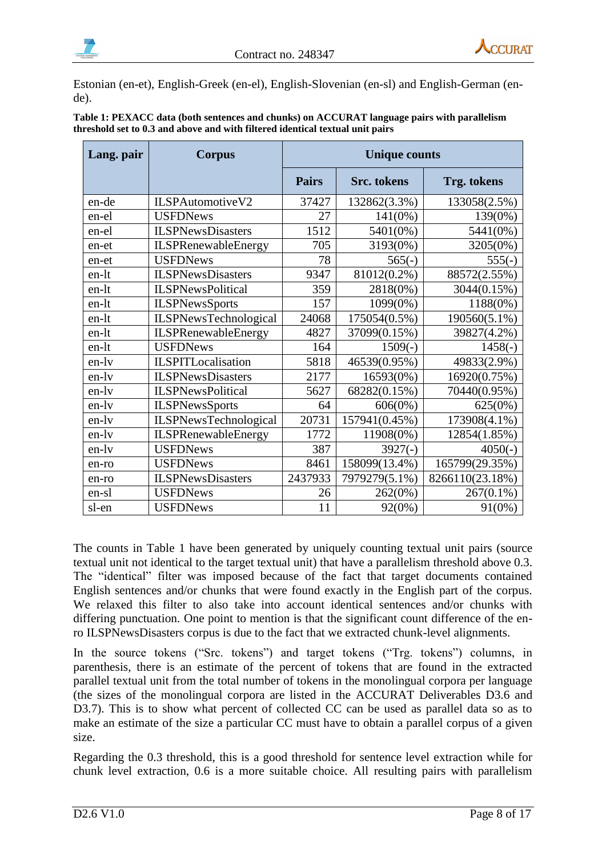



Estonian (en-et), English-Greek (en-el), English-Slovenian (en-sl) and English-German (ende).

| Lang. pair | <b>Corpus</b>                | <b>Unique counts</b> |                    |                 |
|------------|------------------------------|----------------------|--------------------|-----------------|
|            |                              | <b>Pairs</b>         | <b>Src.</b> tokens | Trg. tokens     |
| en-de      | ILSPAutomotiveV2             | 37427                | 132862(3.3%)       | 133058(2.5%)    |
| en-el      | <b>USFDNews</b>              | 27                   | $141(0\%)$         | 139(0%)         |
| en-el      | <b>ILSPNewsDisasters</b>     | 1512                 | 5401(0%)           | 5441(0%)        |
| en-et      | <b>ILSPRenewableEnergy</b>   | 705                  | 3193(0%)           | 3205(0%)        |
| en-et      | <b>USFDNews</b>              | 78                   | $565(-)$           | $555(-)$        |
| en-lt      | <b>ILSPNewsDisasters</b>     | 9347                 | 81012(0.2%)        | 88572(2.55%)    |
| en-lt      | <b>ILSPNewsPolitical</b>     | 359                  | 2818(0%)           | 3044(0.15%)     |
| en-lt      | <b>ILSPNewsSports</b>        | 157                  | 1099(0%)           | 1188(0%)        |
| en-lt      | <b>ILSPNewsTechnological</b> | 24068                | 175054(0.5%)       | 190560(5.1%)    |
| en-lt      | ILSPRenewableEnergy          | 4827                 | 37099(0.15%)       | 39827(4.2%)     |
| en-lt      | <b>USFDNews</b>              | 164                  | $1509(-)$          | $1458(-)$       |
| en-ly      | <b>ILSPITLocalisation</b>    | 5818                 | 46539(0.95%)       | 49833(2.9%)     |
| en-lv      | <b>ILSPNewsDisasters</b>     | 2177                 | 16593(0%)          | 16920(0.75%)    |
| en-lv      | <b>ILSPNewsPolitical</b>     | 5627                 | 68282(0.15%)       | 70440(0.95%)    |
| en-lv      | <b>ILSPNewsSports</b>        | 64                   | 606(0%)            | 625(0%)         |
| en-lv      | <b>ILSPNewsTechnological</b> | 20731                | 157941(0.45%)      | 173908(4.1%)    |
| en-lv      | <b>ILSPRenewableEnergy</b>   | 1772                 | 11908(0%)          | 12854(1.85%)    |
| en-lv      | <b>USFDNews</b>              | 387                  | $3927(-)$          | $4050(-)$       |
| en-ro      | <b>USFDNews</b>              | 8461                 | 158099(13.4%)      | 165799(29.35%)  |
| en-ro      | <b>ILSPNewsDisasters</b>     | 2437933              | 7979279(5.1%)      | 8266110(23.18%) |
| en-sl      | <b>USFDNews</b>              | 26                   | 262(0%)            | $267(0.1\%)$    |
| sl-en      | <b>USFDNews</b>              | 11                   | 92(0%)             | $91(0\%)$       |

**Table 1: PEXACC data (both sentences and chunks) on ACCURAT language pairs with parallelism threshold set to 0.3 and above and with filtered identical textual unit pairs**

The counts in Table 1 have been generated by uniquely counting textual unit pairs (source textual unit not identical to the target textual unit) that have a parallelism threshold above 0.3. The "identical" filter was imposed because of the fact that target documents contained English sentences and/or chunks that were found exactly in the English part of the corpus. We relaxed this filter to also take into account identical sentences and/or chunks with differing punctuation. One point to mention is that the significant count difference of the enro ILSPNewsDisasters corpus is due to the fact that we extracted chunk-level alignments.

In the source tokens ("Src. tokens") and target tokens ("Trg. tokens") columns, in parenthesis, there is an estimate of the percent of tokens that are found in the extracted parallel textual unit from the total number of tokens in the monolingual corpora per language (the sizes of the monolingual corpora are listed in the ACCURAT Deliverables D3.6 and D3.7). This is to show what percent of collected CC can be used as parallel data so as to make an estimate of the size a particular CC must have to obtain a parallel corpus of a given size.

Regarding the 0.3 threshold, this is a good threshold for sentence level extraction while for chunk level extraction, 0.6 is a more suitable choice. All resulting pairs with parallelism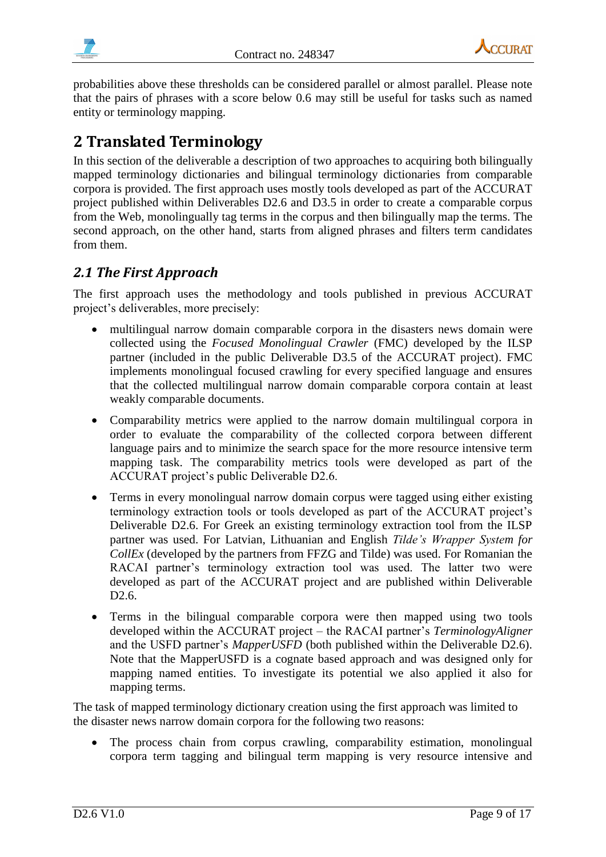



probabilities above these thresholds can be considered parallel or almost parallel. Please note that the pairs of phrases with a score below 0.6 may still be useful for tasks such as named entity or terminology mapping.

# <span id="page-8-0"></span>**2 Translated Terminology**

In this section of the deliverable a description of two approaches to acquiring both bilingually mapped terminology dictionaries and bilingual terminology dictionaries from comparable corpora is provided. The first approach uses mostly tools developed as part of the ACCURAT project published within Deliverables D2.6 and D3.5 in order to create a comparable corpus from the Web, monolingually tag terms in the corpus and then bilingually map the terms. The second approach, on the other hand, starts from aligned phrases and filters term candidates from them.

## <span id="page-8-1"></span>*2.1 The First Approach*

The first approach uses the methodology and tools published in previous ACCURAT project's deliverables, more precisely:

- multilingual narrow domain comparable corpora in the disasters news domain were collected using the *Focused Monolingual Crawler* (FMC) developed by the ILSP partner (included in the public Deliverable D3.5 of the ACCURAT project). FMC implements monolingual focused crawling for every specified language and ensures that the collected multilingual narrow domain comparable corpora contain at least weakly comparable documents.
- Comparability metrics were applied to the narrow domain multilingual corpora in order to evaluate the comparability of the collected corpora between different language pairs and to minimize the search space for the more resource intensive term mapping task. The comparability metrics tools were developed as part of the ACCURAT project's public Deliverable D2.6.
- Terms in every monolingual narrow domain corpus were tagged using either existing terminology extraction tools or tools developed as part of the ACCURAT project's Deliverable D2.6. For Greek an existing terminology extraction tool from the ILSP partner was used. For Latvian, Lithuanian and English *Tilde's Wrapper System for CollEx* (developed by the partners from FFZG and Tilde) was used. For Romanian the RACAI partner's terminology extraction tool was used. The latter two were developed as part of the ACCURAT project and are published within Deliverable D2.6.
- Terms in the bilingual comparable corpora were then mapped using two tools developed within the ACCURAT project – the RACAI partner's *TerminologyAligner* and the USFD partner's *MapperUSFD* (both published within the Deliverable D2.6). Note that the MapperUSFD is a cognate based approach and was designed only for mapping named entities. To investigate its potential we also applied it also for mapping terms.

The task of mapped terminology dictionary creation using the first approach was limited to the disaster news narrow domain corpora for the following two reasons:

 The process chain from corpus crawling, comparability estimation, monolingual corpora term tagging and bilingual term mapping is very resource intensive and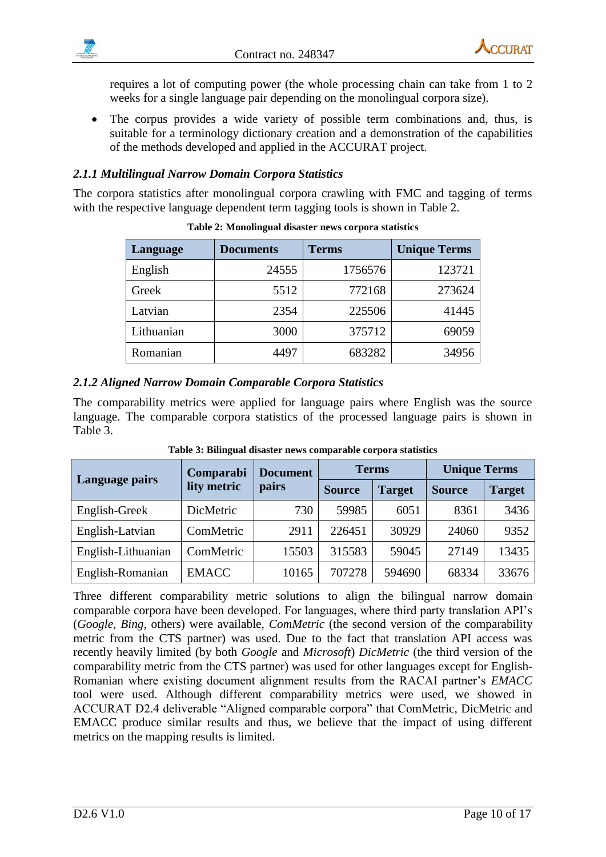



requires a lot of computing power (the whole processing chain can take from 1 to 2 weeks for a single language pair depending on the monolingual corpora size).

 The corpus provides a wide variety of possible term combinations and, thus, is suitable for a terminology dictionary creation and a demonstration of the capabilities of the methods developed and applied in the ACCURAT project.

#### <span id="page-9-0"></span>*2.1.1 Multilingual Narrow Domain Corpora Statistics*

<span id="page-9-2"></span>The corpora statistics after monolingual corpora crawling with FMC and tagging of terms with the respective language dependent term tagging tools is shown in [Table 2.](#page-9-2)

| Language   | <b>Documents</b> | <b>Terms</b> | <b>Unique Terms</b> |
|------------|------------------|--------------|---------------------|
| English    | 24555            | 1756576      | 123721              |
| Greek      | 5512             | 772168       | 273624              |
| Latvian    | 2354             | 225506       | 41445               |
| Lithuanian | 3000             | 375712       | 69059               |
| Romanian   | 4497             | 683282       | 34956               |

**Table 2: Monolingual disaster news corpora statistics**

#### <span id="page-9-1"></span>*2.1.2 Aligned Narrow Domain Comparable Corpora Statistics*

The comparability metrics were applied for language pairs where English was the source language. The comparable corpora statistics of the processed language pairs is shown in [Table 3.](#page-9-3)

<span id="page-9-3"></span>

|                    | Comparabi    | <b>Document</b> | <b>Terms</b>  |               | <b>Unique Terms</b> |               |
|--------------------|--------------|-----------------|---------------|---------------|---------------------|---------------|
| Language pairs     | lity metric  |                 | <b>Source</b> | <b>Target</b> | <b>Source</b>       | <b>Target</b> |
| English-Greek      | DicMetric    | 730             | 59985         | 6051          | 8361                | 3436          |
| English-Latvian    | ComMetric    | 2911            | 226451        | 30929         | 24060               | 9352          |
| English-Lithuanian | ComMetric    | 15503           | 315583        | 59045         | 27149               | 13435         |
| English-Romanian   | <b>EMACC</b> | 10165           | 707278        | 594690        | 68334               | 33676         |

**Table 3: Bilingual disaster news comparable corpora statistics**

Three different comparability metric solutions to align the bilingual narrow domain comparable corpora have been developed. For languages, where third party translation API's (*Google*, *Bing*, others) were available, *ComMetric* (the second version of the comparability metric from the CTS partner) was used. Due to the fact that translation API access was recently heavily limited (by both *Google* and *Microsoft*) *DicMetric* (the third version of the comparability metric from the CTS partner) was used for other languages except for English-Romanian where existing document alignment results from the RACAI partner's *EMACC* tool were used. Although different comparability metrics were used, we showed in ACCURAT D2.4 deliverable "Aligned comparable corpora" that ComMetric, DicMetric and EMACC produce similar results and thus, we believe that the impact of using different metrics on the mapping results is limited.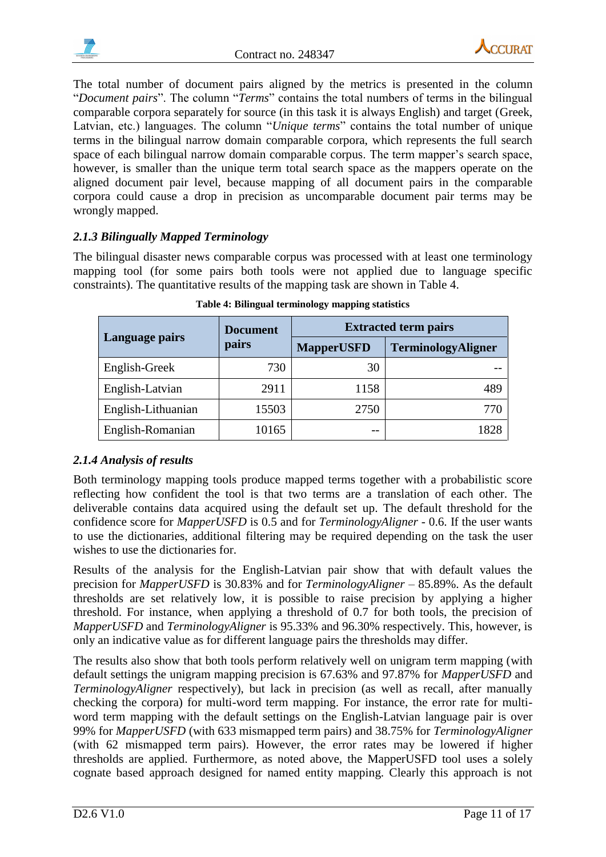



The total number of document pairs aligned by the metrics is presented in the column "*Document pairs*". The column "*Terms*" contains the total numbers of terms in the bilingual comparable corpora separately for source (in this task it is always English) and target (Greek, Latvian, etc.) languages. The column "*Unique terms*" contains the total number of unique terms in the bilingual narrow domain comparable corpora, which represents the full search space of each bilingual narrow domain comparable corpus. The term mapper's search space, however, is smaller than the unique term total search space as the mappers operate on the aligned document pair level, because mapping of all document pairs in the comparable corpora could cause a drop in precision as uncomparable document pair terms may be wrongly mapped.

#### <span id="page-10-0"></span>*2.1.3 Bilingually Mapped Terminology*

The bilingual disaster news comparable corpus was processed with at least one terminology mapping tool (for some pairs both tools were not applied due to language specific constraints). The quantitative results of the mapping task are shown in [Table 4.](#page-10-2)

<span id="page-10-2"></span>

|                    | <b>Document</b> | <b>Extracted term pairs</b> |                    |  |
|--------------------|-----------------|-----------------------------|--------------------|--|
| Language pairs     | pairs           | <b>MapperUSFD</b>           | TerminologyAligner |  |
| English-Greek      | 730             | 30                          |                    |  |
| English-Latvian    | 2911            | 1158                        | 489                |  |
| English-Lithuanian | 15503           | 2750                        | 770                |  |
| English-Romanian   | 10165           | --                          | 1828               |  |

**Table 4: Bilingual terminology mapping statistics**

#### <span id="page-10-1"></span>*2.1.4 Analysis of results*

Both terminology mapping tools produce mapped terms together with a probabilistic score reflecting how confident the tool is that two terms are a translation of each other. The deliverable contains data acquired using the default set up. The default threshold for the confidence score for *MapperUSFD* is 0.5 and for *TerminologyAligner* - 0.6. If the user wants to use the dictionaries, additional filtering may be required depending on the task the user wishes to use the dictionaries for.

Results of the analysis for the English-Latvian pair show that with default values the precision for *MapperUSFD* is 30.83% and for *TerminologyAligner* – 85.89%. As the default thresholds are set relatively low, it is possible to raise precision by applying a higher threshold. For instance, when applying a threshold of 0.7 for both tools, the precision of *MapperUSFD* and *TerminologyAligner* is 95.33% and 96.30% respectively. This, however, is only an indicative value as for different language pairs the thresholds may differ.

The results also show that both tools perform relatively well on unigram term mapping (with default settings the unigram mapping precision is 67.63% and 97.87% for *MapperUSFD* and *TerminologyAligner* respectively), but lack in precision (as well as recall, after manually checking the corpora) for multi-word term mapping. For instance, the error rate for multiword term mapping with the default settings on the English-Latvian language pair is over 99% for *MapperUSFD* (with 633 mismapped term pairs) and 38.75% for *TerminologyAligner*  (with 62 mismapped term pairs). However, the error rates may be lowered if higher thresholds are applied. Furthermore, as noted above, the MapperUSFD tool uses a solely cognate based approach designed for named entity mapping. Clearly this approach is not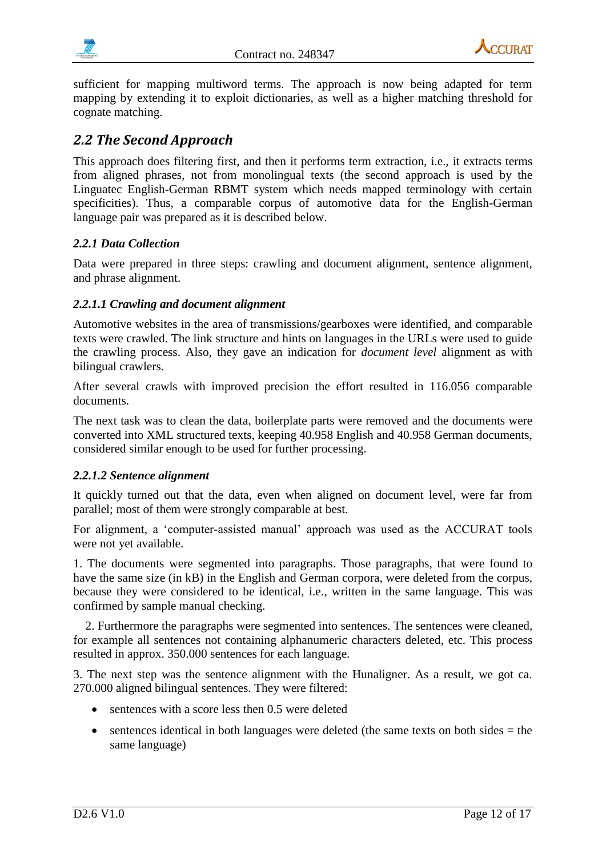



sufficient for mapping multiword terms. The approach is now being adapted for term mapping by extending it to exploit dictionaries, as well as a higher matching threshold for cognate matching.

### <span id="page-11-0"></span>*2.2 The Second Approach*

This approach does filtering first, and then it performs term extraction, i.e., it extracts terms from aligned phrases, not from monolingual texts (the second approach is used by the Linguatec English-German RBMT system which needs mapped terminology with certain specificities). Thus, a comparable corpus of automotive data for the English-German language pair was prepared as it is described below.

#### <span id="page-11-1"></span>*2.2.1 Data Collection*

Data were prepared in three steps: crawling and document alignment, sentence alignment, and phrase alignment.

#### <span id="page-11-2"></span>*2.2.1.1 Crawling and document alignment*

Automotive websites in the area of transmissions/gearboxes were identified, and comparable texts were crawled. The link structure and hints on languages in the URLs were used to guide the crawling process. Also, they gave an indication for *document level* alignment as with bilingual crawlers.

After several crawls with improved precision the effort resulted in 116.056 comparable documents.

The next task was to clean the data, boilerplate parts were removed and the documents were converted into XML structured texts, keeping 40.958 English and 40.958 German documents, considered similar enough to be used for further processing.

#### <span id="page-11-3"></span>*2.2.1.2 Sentence alignment*

It quickly turned out that the data, even when aligned on document level, were far from parallel; most of them were strongly comparable at best.

For alignment, a 'computer-assisted manual' approach was used as the ACCURAT tools were not yet available.

1. The documents were segmented into paragraphs. Those paragraphs, that were found to have the same size (in kB) in the English and German corpora, were deleted from the corpus, because they were considered to be identical, i.e., written in the same language. This was confirmed by sample manual checking.

2. Furthermore the paragraphs were segmented into sentences. The sentences were cleaned, for example all sentences not containing alphanumeric characters deleted, etc. This process resulted in approx. 350.000 sentences for each language.

3. The next step was the sentence alignment with the Hunaligner. As a result, we got ca. 270.000 aligned bilingual sentences. They were filtered:

- sentences with a score less then 0.5 were deleted
- $\bullet$  sentences identical in both languages were deleted (the same texts on both sides  $=$  the same language)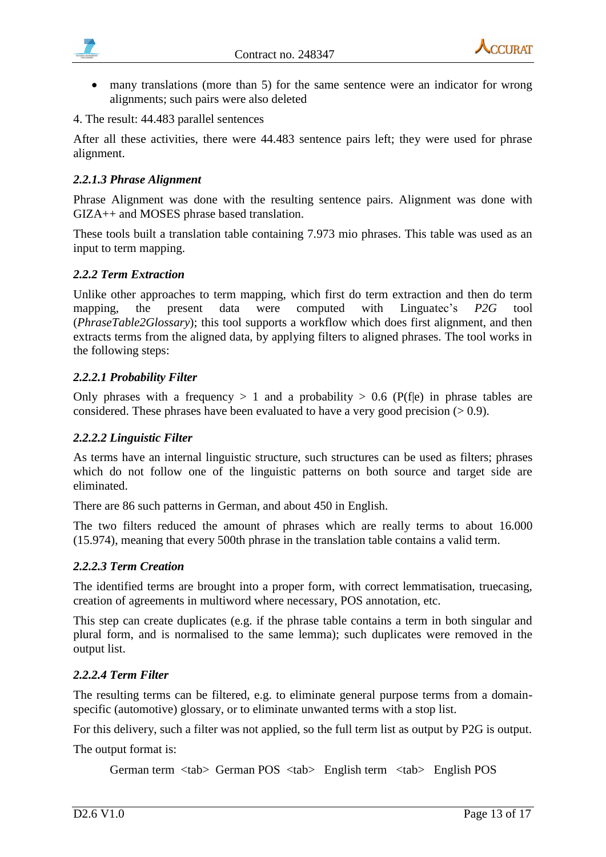

- **CCI IRAT**
- many translations (more than 5) for the same sentence were an indicator for wrong alignments; such pairs were also deleted
- 4. The result: 44.483 parallel sentences

After all these activities, there were 44.483 sentence pairs left; they were used for phrase alignment.

#### <span id="page-12-0"></span>*2.2.1.3 Phrase Alignment*

Phrase Alignment was done with the resulting sentence pairs. Alignment was done with GIZA++ and MOSES phrase based translation.

These tools built a translation table containing 7.973 mio phrases. This table was used as an input to term mapping.

#### <span id="page-12-1"></span>*2.2.2 Term Extraction*

Unlike other approaches to term mapping, which first do term extraction and then do term mapping, the present data were computed with Linguatec's *P2G* tool (*PhraseTable2Glossary*); this tool supports a workflow which does first alignment, and then extracts terms from the aligned data, by applying filters to aligned phrases. The tool works in the following steps:

#### <span id="page-12-2"></span>*2.2.2.1 Probability Filter*

Only phrases with a frequency  $> 1$  and a probability  $> 0.6$  (P(f|e) in phrase tables are considered. These phrases have been evaluated to have a very good precision  $(>0.9)$ .

#### <span id="page-12-3"></span>*2.2.2.2 Linguistic Filter*

As terms have an internal linguistic structure, such structures can be used as filters; phrases which do not follow one of the linguistic patterns on both source and target side are eliminated.

There are 86 such patterns in German, and about 450 in English.

The two filters reduced the amount of phrases which are really terms to about 16.000 (15.974), meaning that every 500th phrase in the translation table contains a valid term.

#### <span id="page-12-4"></span>*2.2.2.3 Term Creation*

The identified terms are brought into a proper form, with correct lemmatisation, truecasing, creation of agreements in multiword where necessary, POS annotation, etc.

This step can create duplicates (e.g. if the phrase table contains a term in both singular and plural form, and is normalised to the same lemma); such duplicates were removed in the output list.

#### <span id="page-12-5"></span>*2.2.2.4 Term Filter*

The resulting terms can be filtered, e.g. to eliminate general purpose terms from a domainspecific (automotive) glossary, or to eliminate unwanted terms with a stop list.

For this delivery, such a filter was not applied, so the full term list as output by P2G is output.

The output format is:

German term <tab> German POS <tab> English term <tab> English POS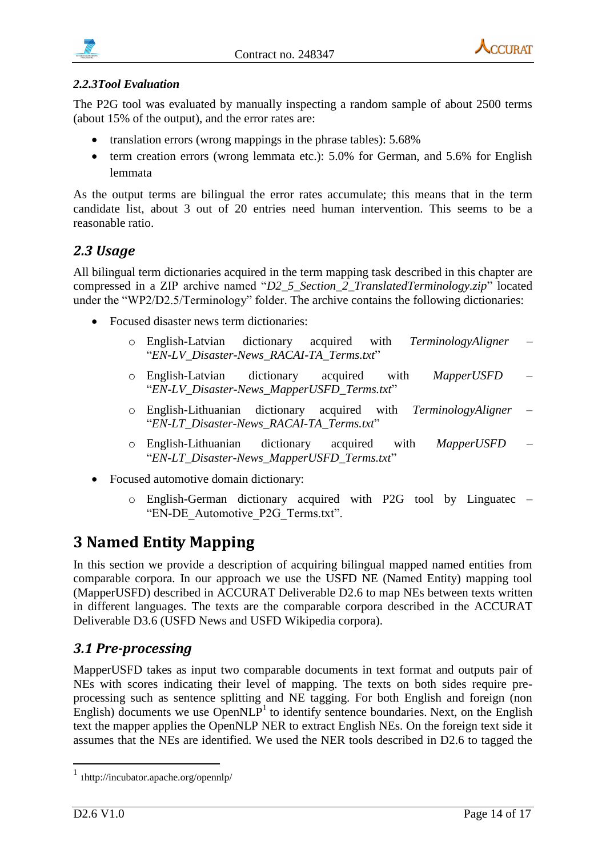<span id="page-13-2"></span>



#### <span id="page-13-0"></span>*2.2.3Tool Evaluation*

The P2G tool was evaluated by manually inspecting a random sample of about 2500 terms (about 15% of the output), and the error rates are:

- translation errors (wrong mappings in the phrase tables): 5.68%
- $\bullet$  term creation errors (wrong lemmata etc.): 5.0% for German, and 5.6% for English lemmata

As the output terms are bilingual the error rates accumulate; this means that in the term candidate list, about 3 out of 20 entries need human intervention. This seems to be a reasonable ratio.

### <span id="page-13-1"></span>*2.3 Usage*

All bilingual term dictionaries acquired in the term mapping task described in this chapter are compressed in a ZIP archive named "*D2\_5\_Section\_2\_TranslatedTerminology.zip*" located under the "WP2/D2.5/Terminology" folder. The archive contains the following dictionaries:

- Focused disaster news term dictionaries:
	- o English-Latvian dictionary acquired with *TerminologyAligner* "*EN-LV\_Disaster-News\_RACAI-TA\_Terms.txt*"
	- o English-Latvian dictionary acquired with *MapperUSFD* "*EN-LV\_Disaster-News\_MapperUSFD\_Terms.txt*"
	- o English-Lithuanian dictionary acquired with *TerminologyAligner* "*EN-LT\_Disaster-News\_RACAI-TA\_Terms.txt*"
	- o English-Lithuanian dictionary acquired with *MapperUSFD* "*EN-LT\_Disaster-News\_MapperUSFD\_Terms.txt*"
- Focused automotive domain dictionary:
	- o English-German dictionary acquired with P2G tool by Linguatec "EN-DE\_Automotive\_P2G\_Terms.txt".

# <span id="page-13-3"></span>**3 Named Entity Mapping**

In this section we provide a description of acquiring bilingual mapped named entities from comparable corpora. In our approach we use the USFD NE (Named Entity) mapping tool (MapperUSFD) described in ACCURAT Deliverable D2.6 to map NEs between texts written in different languages. The texts are the comparable corpora described in the ACCURAT Deliverable D3.6 (USFD News and USFD Wikipedia corpora).

### <span id="page-13-4"></span>*3.1 Pre-processing*

MapperUSFD takes as input two comparable documents in text format and outputs pair of NEs with scores indicating their level of mapping. The texts on both sides require preprocessing such as sentence splitting and NE tagging. For both English and foreign (non English) documents we use  $OpenNLP<sup>1</sup>$  to identify sentence boundaries. Next, on the English text the mapper applies the OpenNLP NER to extract English NEs. On the foreign text side it assumes that the NEs are identified. We used the NER tools described in D2.6 to tagged the

1

<sup>1</sup> 1http://incubator.apache.org/opennlp/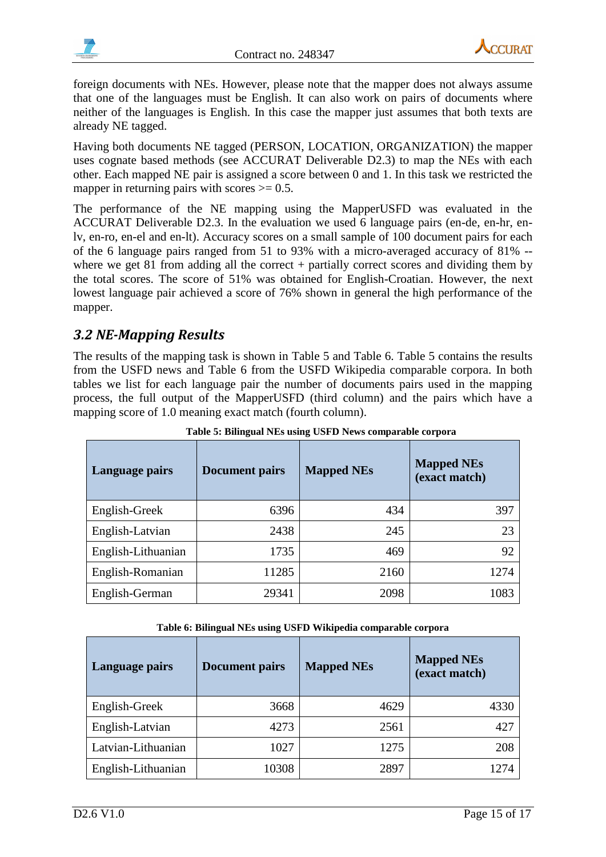



foreign documents with NEs. However, please note that the mapper does not always assume that one of the languages must be English. It can also work on pairs of documents where neither of the languages is English. In this case the mapper just assumes that both texts are already NE tagged.

Having both documents NE tagged (PERSON, LOCATION, ORGANIZATION) the mapper uses cognate based methods (see ACCURAT Deliverable D2.3) to map the NEs with each other. Each mapped NE pair is assigned a score between 0 and 1. In this task we restricted the mapper in returning pairs with scores  $\geq 0.5$ .

The performance of the NE mapping using the MapperUSFD was evaluated in the ACCURAT Deliverable D2.3. In the evaluation we used 6 language pairs (en-de, en-hr, enlv, en-ro, en-el and en-lt). Accuracy scores on a small sample of 100 document pairs for each of the 6 language pairs ranged from 51 to 93% with a micro-averaged accuracy of 81% - where we get 81 from adding all the correct + partially correct scores and dividing them by the total scores. The score of 51% was obtained for English-Croatian. However, the next lowest language pair achieved a score of 76% shown in general the high performance of the mapper.

## <span id="page-14-0"></span>*3.2 NE-Mapping Results*

The results of the mapping task is shown in [Table 5](#page-14-1) and [Table 6.](#page-14-2) [Table 5](#page-14-1) contains the results from the USFD news and [Table 6](#page-14-2) from the USFD Wikipedia comparable corpora. In both tables we list for each language pair the number of documents pairs used in the mapping process, the full output of the MapperUSFD (third column) and the pairs which have a mapping score of 1.0 meaning exact match (fourth column).

<span id="page-14-1"></span>

| Language pairs     | <b>Document pairs</b> | <b>Mapped NEs</b> | <b>Mapped NEs</b><br>(exact match) |
|--------------------|-----------------------|-------------------|------------------------------------|
| English-Greek      | 6396                  | 434               | 397                                |
| English-Latvian    | 2438                  | 245               | 23                                 |
| English-Lithuanian | 1735                  | 469               | 92                                 |
| English-Romanian   | 11285                 | 2160              | 1274                               |
| English-German     | 29341                 | 2098              | 1083                               |

**Table 5: Bilingual NEs using USFD News comparable corpora**

| Table 6: Bilingual NEs using USFD Wikipedia comparable corpora |  |
|----------------------------------------------------------------|--|
|----------------------------------------------------------------|--|

<span id="page-14-2"></span>

| Language pairs     | <b>Document pairs</b> | <b>Mapped NEs</b> | <b>Mapped NEs</b><br>(exact match) |
|--------------------|-----------------------|-------------------|------------------------------------|
| English-Greek      | 3668                  | 4629              | 4330                               |
| English-Latvian    | 4273                  | 2561              | 427                                |
| Latvian-Lithuanian | 1027                  | 1275              | 208                                |
| English-Lithuanian | 10308                 | 2897              | 12.74                              |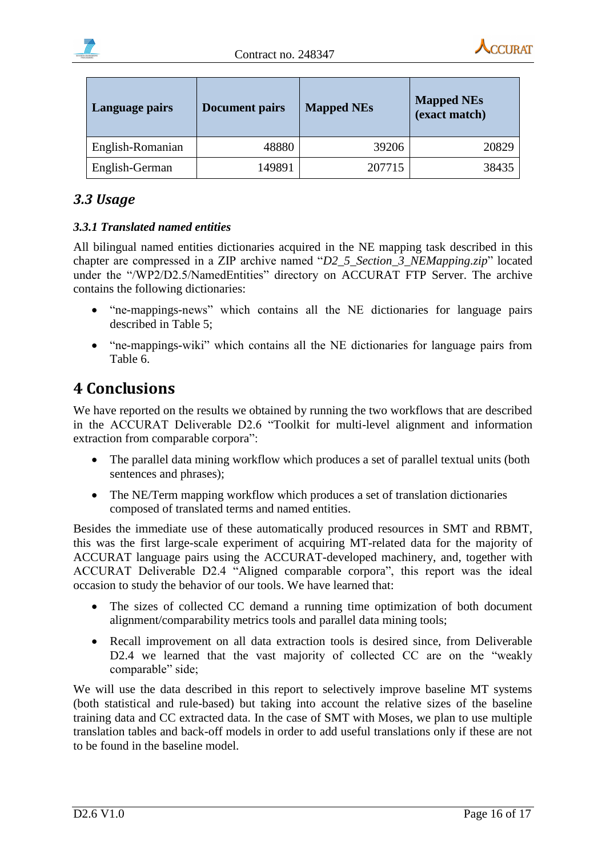

| Language pairs   | <b>Document pairs</b> | <b>Mapped NEs</b> | <b>Mapped NEs</b><br>(exact match) |
|------------------|-----------------------|-------------------|------------------------------------|
| English-Romanian | 48880                 | 39206             | 20829                              |
| English-German   | 149891                | 207715            | 38435                              |

# <span id="page-15-0"></span>*3.3 Usage*

#### <span id="page-15-1"></span>*3.3.1 Translated named entities*

All bilingual named entities dictionaries acquired in the NE mapping task described in this chapter are compressed in a ZIP archive named "*D2\_5\_Section\_3\_NEMapping.zip*" located under the "/WP2/D2.5/NamedEntities" directory on ACCURAT FTP Server. The archive contains the following dictionaries:

- "ne-mappings-news" which contains all the NE dictionaries for language pairs described in Table 5;
- "ne-mappings-wiki" which contains all the NE dictionaries for language pairs from Table 6.

# <span id="page-15-2"></span>**4 Conclusions**

We have reported on the results we obtained by running the two workflows that are described in the ACCURAT Deliverable D2.6 "Toolkit for multi-level alignment and information extraction from comparable corpora":

- The parallel data mining workflow which produces a set of parallel textual units (both sentences and phrases);
- The NE/Term mapping workflow which produces a set of translation dictionaries composed of translated terms and named entities.

Besides the immediate use of these automatically produced resources in SMT and RBMT, this was the first large-scale experiment of acquiring MT-related data for the majority of ACCURAT language pairs using the ACCURAT-developed machinery, and, together with ACCURAT Deliverable D2.4 "Aligned comparable corpora", this report was the ideal occasion to study the behavior of our tools. We have learned that:

- The sizes of collected CC demand a running time optimization of both document alignment/comparability metrics tools and parallel data mining tools;
- Recall improvement on all data extraction tools is desired since, from Deliverable D2.4 we learned that the vast majority of collected CC are on the "weakly comparable" side;

We will use the data described in this report to selectively improve baseline MT systems (both statistical and rule-based) but taking into account the relative sizes of the baseline training data and CC extracted data. In the case of SMT with Moses, we plan to use multiple translation tables and back-off models in order to add useful translations only if these are not to be found in the baseline model.